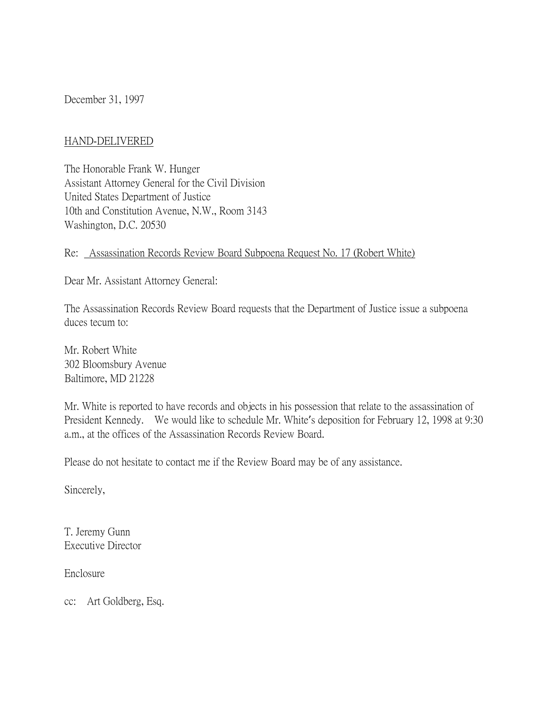December 31, 1997

#### HAND-DELIVERED

The Honorable Frank W. Hunger Assistant Attorney General for the Civil Division United States Department of Justice 10th and Constitution Avenue, N.W., Room 3143 Washington, D.C. 20530

#### Re: Assassination Records Review Board Subpoena Request No. 17 (Robert White)

Dear Mr. Assistant Attorney General:

The Assassination Records Review Board requests that the Department of Justice issue a subpoena duces tecum to:

Mr. Robert White 302 Bloomsbury Avenue Baltimore, MD 21228

Mr. White is reported to have records and objects in his possession that relate to the assassination of President Kennedy. We would like to schedule Mr. White's deposition for February 12, 1998 at 9:30 a.m., at the offices of the Assassination Records Review Board.

Please do not hesitate to contact me if the Review Board may be of any assistance.

Sincerely,

T. Jeremy Gunn Executive Director

Enclosure

cc: Art Goldberg, Esq.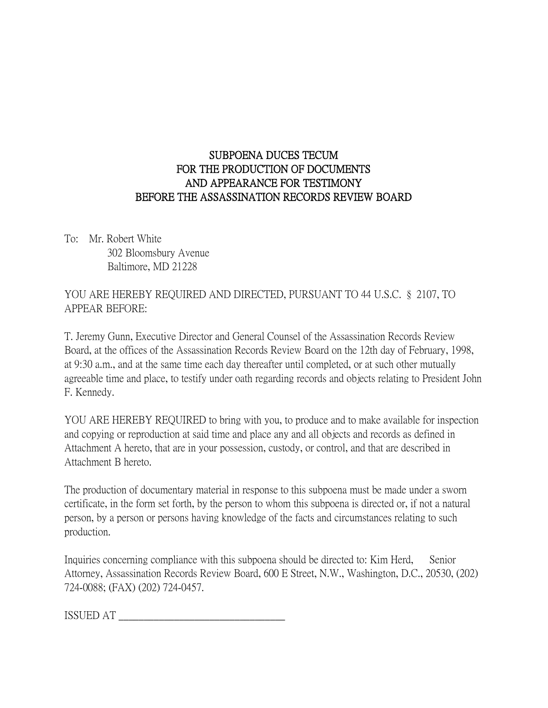### SUBPOENA DUCES TECUM FOR THE PRODUCTION OF DOCUMENTS AND APPEARANCE FOR TESTIMONY BEFORE THE ASSASSINATION RECORDS REVIEW BOARD

To: Mr. Robert White 302 Bloomsbury Avenue Baltimore, MD 21228

YOU ARE HEREBY REQUIRED AND DIRECTED, PURSUANT TO 44 U.S.C. § 2107, TO APPEAR BEFORE:

T. Jeremy Gunn, Executive Director and General Counsel of the Assassination Records Review Board, at the offices of the Assassination Records Review Board on the 12th day of February, 1998, at 9:30 a.m., and at the same time each day thereafter until completed, or at such other mutually agreeable time and place, to testify under oath regarding records and objects relating to President John F. Kennedy.

YOU ARE HEREBY REQUIRED to bring with you, to produce and to make available for inspection and copying or reproduction at said time and place any and all objects and records as defined in Attachment A hereto, that are in your possession, custody, or control, and that are described in Attachment B hereto.

The production of documentary material in response to this subpoena must be made under a sworn certificate, in the form set forth, by the person to whom this subpoena is directed or, if not a natural person, by a person or persons having knowledge of the facts and circumstances relating to such production.

Inquiries concerning compliance with this subpoena should be directed to: Kim Herd, Senior Attorney, Assassination Records Review Board, 600 E Street, N.W., Washington, D.C., 20530, (202) 724-0088; (FAX) (202) 724-0457.

ISSUED AT \_\_\_\_\_\_\_\_\_\_\_\_\_\_\_\_\_\_\_\_\_\_\_\_\_\_\_\_\_\_\_\_\_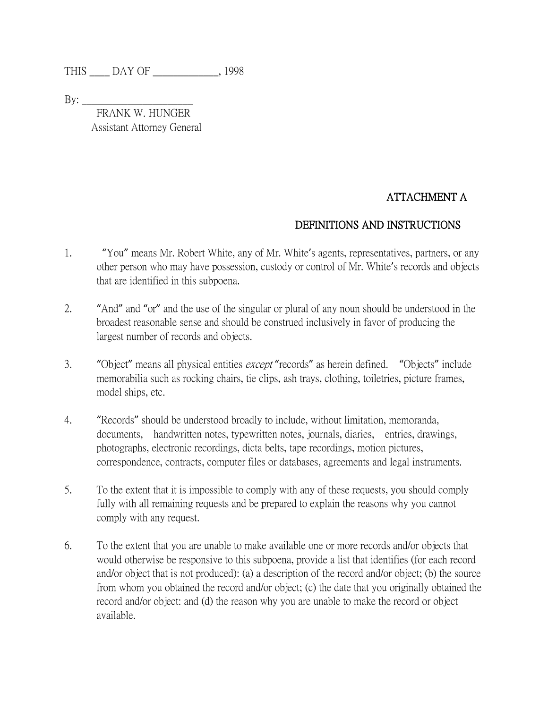THIS \_\_\_\_ DAY OF \_\_\_\_\_\_\_\_\_\_\_\_\_, 1998

By: \_\_\_\_\_\_\_\_\_\_\_\_\_\_\_\_\_\_\_\_\_\_

 FRANK W. HUNGER Assistant Attorney General

# ATTACHMENT A

### DEFINITIONS AND INSTRUCTIONS

- 1. "You" means Mr. Robert White, any of Mr. White's agents, representatives, partners, or any other person who may have possession, custody or control of Mr. White's records and objects that are identified in this subpoena.
- 2. "And" and "or" and the use of the singular or plural of any noun should be understood in the broadest reasonable sense and should be construed inclusively in favor of producing the largest number of records and objects.
- 3. "Object" means all physical entities except "records" as herein defined. "Objects" include memorabilia such as rocking chairs, tie clips, ash trays, clothing, toiletries, picture frames, model ships, etc.
- 4. "Records" should be understood broadly to include, without limitation, memoranda, documents, handwritten notes, typewritten notes, journals, diaries, entries, drawings, photographs, electronic recordings, dicta belts, tape recordings, motion pictures, correspondence, contracts, computer files or databases, agreements and legal instruments.
- 5. To the extent that it is impossible to comply with any of these requests, you should comply fully with all remaining requests and be prepared to explain the reasons why you cannot comply with any request.
- 6. To the extent that you are unable to make available one or more records and/or objects that would otherwise be responsive to this subpoena, provide a list that identifies (for each record and/or object that is not produced): (a) a description of the record and/or object; (b) the source from whom you obtained the record and/or object; (c) the date that you originally obtained the record and/or object: and (d) the reason why you are unable to make the record or object available.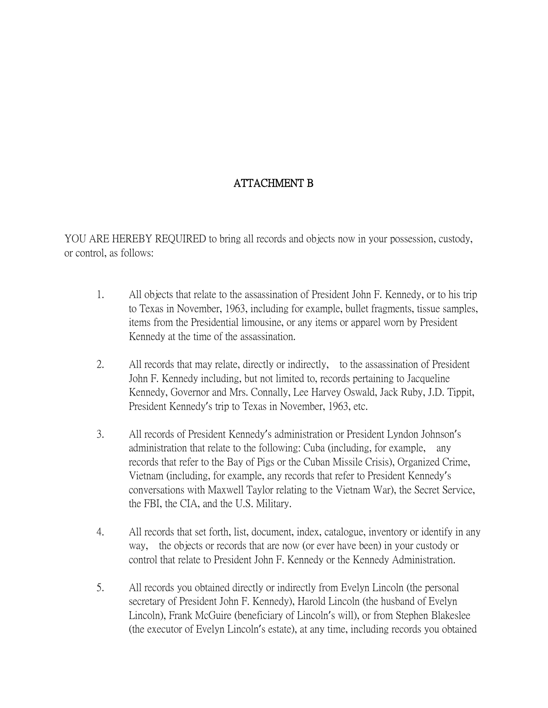# ATTACHMENT B

YOU ARE HEREBY REQUIRED to bring all records and objects now in your possession, custody, or control, as follows:

- 1. All objects that relate to the assassination of President John F. Kennedy, or to his trip to Texas in November, 1963, including for example, bullet fragments, tissue samples, items from the Presidential limousine, or any items or apparel worn by President Kennedy at the time of the assassination.
- 2. All records that may relate, directly or indirectly, to the assassination of President John F. Kennedy including, but not limited to, records pertaining to Jacqueline Kennedy, Governor and Mrs. Connally, Lee Harvey Oswald, Jack Ruby, J.D. Tippit, President Kennedy's trip to Texas in November, 1963, etc.
- 3. All records of President Kennedy's administration or President Lyndon Johnson's administration that relate to the following: Cuba (including, for example, any records that refer to the Bay of Pigs or the Cuban Missile Crisis), Organized Crime, Vietnam (including, for example, any records that refer to President Kennedy's conversations with Maxwell Taylor relating to the Vietnam War), the Secret Service, the FBI, the CIA, and the U.S. Military.
- 4. All records that set forth, list, document, index, catalogue, inventory or identify in any way, the objects or records that are now (or ever have been) in your custody or control that relate to President John F. Kennedy or the Kennedy Administration.
- 5. All records you obtained directly or indirectly from Evelyn Lincoln (the personal secretary of President John F. Kennedy), Harold Lincoln (the husband of Evelyn Lincoln), Frank McGuire (beneficiary of Lincoln's will), or from Stephen Blakeslee (the executor of Evelyn Lincoln's estate), at any time, including records you obtained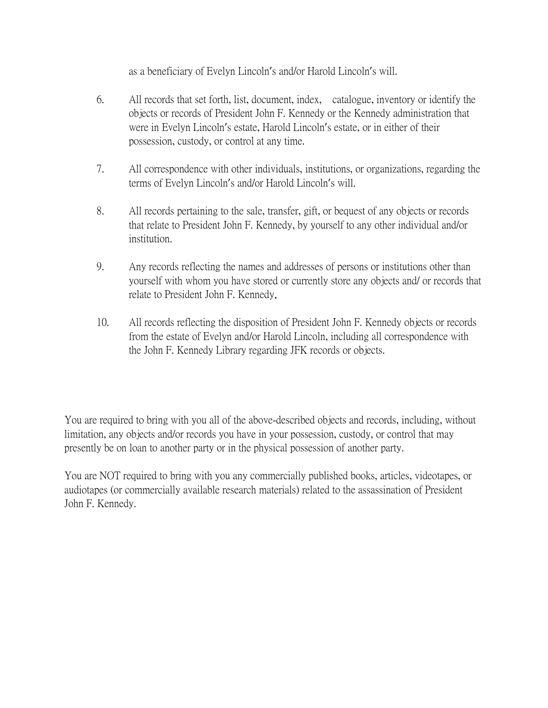as a beneficiary of Evelyn Lincoln's and/or Harold Lincoln's will.

- 6. All records that set forth, list, document, index, catalogue, inventory or identify the objects or records of President John F. Kennedy or the Kennedy administration that were in Evelyn Lincoln's estate, Harold Lincoln's estate, or in either of their possession, custody, or control at any time.
- 7. All correspondence with other individuals, institutions, or organizations, regarding the terms of Evelyn Lincoln's and/or Harold Lincoln's will.
- 8. All records pertaining to the sale, transfer, gift, or bequest of any objects or records that relate to President John F. Kennedy, by yourself to any other individual and/or institution.
- 9. Any records reflecting the names and addresses of persons or institutions other than yourself with whom you have stored or currently store any objects and/ or records that relate to President John F. Kennedy.
- 10. All records reflecting the disposition of President John F. Kennedy objects or records from the estate of Evelyn and/or Harold Lincoln, including all correspondence with the John F. Kennedy Library regarding JFK records or objects.

You are required to bring with you all of the above-described objects and records, including, without limitation, any objects and/or records you have in your possession, custody, or control that may presently be on loan to another party or in the physical possession of another party.

You are NOT required to bring with you any commercially published books, articles, videotapes, or audiotapes (or commercially available research materials) related to the assassination of President John F. Kennedy.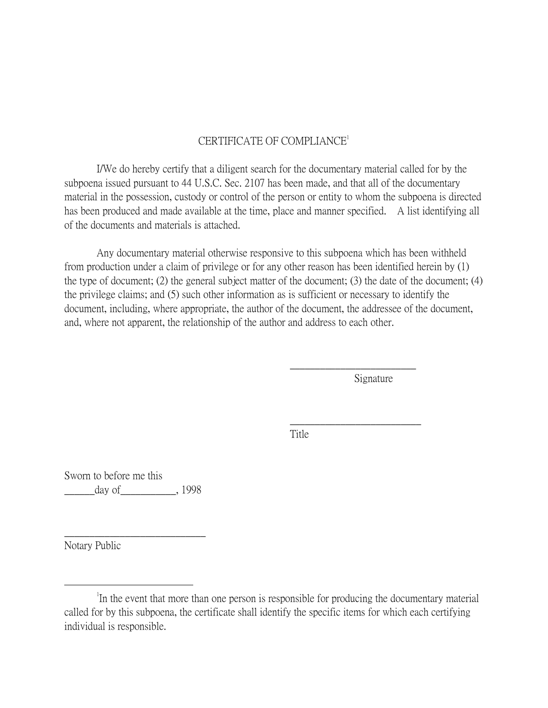#### CERTIFICATE OF COMPLIANCE<sup>1</sup>

I/We do hereby certify that a diligent search for the documentary material called for by the subpoena issued pursuant to 44 U.S.C. Sec. 2107 has been made, and that all of the documentary material in the possession, custody or control of the person or entity to whom the subpoena is directed has been produced and made available at the time, place and manner specified. A list identifying all of the documents and materials is attached.

Any documentary material otherwise responsive to this subpoena which has been withheld from production under a claim of privilege or for any other reason has been identified herein by (1) the type of document; (2) the general subject matter of the document; (3) the date of the document; (4) the privilege claims; and (5) such other information as is sufficient or necessary to identify the document, including, where appropriate, the author of the document, the addressee of the document, and, where not apparent, the relationship of the author and address to each other.

Signature

\_\_\_\_\_\_\_\_\_\_\_\_\_\_\_\_\_\_\_\_\_\_\_\_\_

\_\_\_\_\_\_\_\_\_\_\_\_\_\_\_\_\_\_\_\_\_\_\_\_\_\_

Title

Sworn to before me this \_\_\_\_\_\_day of\_\_\_\_\_\_\_\_\_\_\_, 1998

 $\frac{1}{2}$  ,  $\frac{1}{2}$  ,  $\frac{1}{2}$  ,  $\frac{1}{2}$  ,  $\frac{1}{2}$  ,  $\frac{1}{2}$  ,  $\frac{1}{2}$  ,  $\frac{1}{2}$  ,  $\frac{1}{2}$  ,  $\frac{1}{2}$  ,  $\frac{1}{2}$  ,  $\frac{1}{2}$  ,  $\frac{1}{2}$  ,  $\frac{1}{2}$  ,  $\frac{1}{2}$  ,  $\frac{1}{2}$  ,  $\frac{1}{2}$  ,  $\frac{1}{2}$  ,  $\frac{1$ 

Notary Public

 $\overline{a}$ 

<sup>&</sup>lt;sup>1</sup>In the event that more than one person is responsible for producing the documentary material called for by this subpoena, the certificate shall identify the specific items for which each certifying individual is responsible.